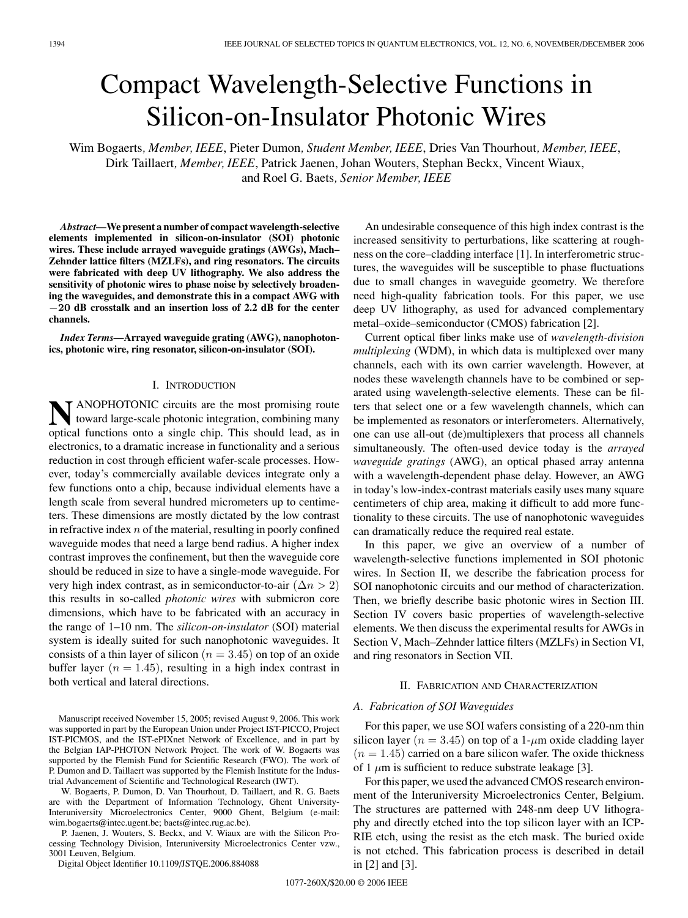# Compact Wavelength-Selective Functions in Silicon-on-Insulator Photonic Wires

Wim Bogaerts*, Member, IEEE*, Pieter Dumon*, Student Member, IEEE*, Dries Van Thourhout*, Member, IEEE*, Dirk Taillaert*, Member, IEEE*, Patrick Jaenen, Johan Wouters, Stephan Beckx, Vincent Wiaux, and Roel G. Baets*, Senior Member, IEEE*

*Abstract***—We present a number of compact wavelength-selective elements implemented in silicon-on-insulator (SOI) photonic wires. These include arrayed waveguide gratings (AWGs), Mach– Zehnder lattice filters (MZLFs), and ring resonators. The circuits were fabricated with deep UV lithography. We also address the sensitivity of photonic wires to phase noise by selectively broadening the waveguides, and demonstrate this in a compact AWG with** *−***20 dB crosstalk and an insertion loss of 2.2 dB for the center channels.**

*Index Terms***—Arrayed waveguide grating (AWG), nanophotonics, photonic wire, ring resonator, silicon-on-insulator (SOI).**

#### I. INTRODUCTION

**NANOPHOTONIC** circuits are the most promising route<br>toward large-scale photonic integration, combining many optical functions onto a single chip. This should lead, as in electronics, to a dramatic increase in functionality and a serious reduction in cost through efficient wafer-scale processes. However, today's commercially available devices integrate only a few functions onto a chip, because individual elements have a length scale from several hundred micrometers up to centimeters. These dimensions are mostly dictated by the low contrast in refractive index  $n$  of the material, resulting in poorly confined waveguide modes that need a large bend radius. A higher index contrast improves the confinement, but then the waveguide core should be reduced in size to have a single-mode waveguide. For very high index contrast, as in semiconductor-to-air  $(\Delta n > 2)$ this results in so-called *photonic wires* with submicron core dimensions, which have to be fabricated with an accuracy in the range of 1–10 nm. The *silicon-on-insulator* (SOI) material system is ideally suited for such nanophotonic waveguides. It consists of a thin layer of silicon  $(n = 3.45)$  on top of an oxide buffer layer ( $n = 1.45$ ), resulting in a high index contrast in both vertical and lateral directions.

Manuscript received November 15, 2005; revised August 9, 2006. This work was supported in part by the European Union under Project IST-PICCO, Project IST-PICMOS, and the IST-ePIXnet Network of Excellence, and in part by the Belgian IAP-PHOTON Network Project. The work of W. Bogaerts was supported by the Flemish Fund for Scientific Research (FWO). The work of P. Dumon and D. Taillaert was supported by the Flemish Institute for the Industrial Advancement of Scientific and Technological Research (IWT).

W. Bogaerts, P. Dumon, D. Van Thourhout, D. Taillaert, and R. G. Baets are with the Department of Information Technology, Ghent University-Interuniversity Microelectronics Center, 9000 Ghent, Belgium (e-mail: wim.bogaerts@intec.ugent.be; baets@intec.rug.ac.be).

P. Jaenen, J. Wouters, S. Beckx, and V. Wiaux are with the Silicon Processing Technology Division, Interuniversity Microelectronics Center vzw., 3001 Leuven, Belgium.

Digital Object Identifier 10.1109/JSTQE.2006.884088

An undesirable consequence of this high index contrast is the increased sensitivity to perturbations, like scattering at roughness on the core–cladding interface [1]. In interferometric structures, the waveguides will be susceptible to phase fluctuations due to small changes in waveguide geometry. We therefore need high-quality fabrication tools. For this paper, we use deep UV lithography, as used for advanced complementary metal–oxide–semiconductor (CMOS) fabrication [2].

Current optical fiber links make use of *wavelength-division multiplexing* (WDM), in which data is multiplexed over many channels, each with its own carrier wavelength. However, at nodes these wavelength channels have to be combined or separated using wavelength-selective elements. These can be filters that select one or a few wavelength channels, which can be implemented as resonators or interferometers. Alternatively, one can use all-out (de)multiplexers that process all channels simultaneously. The often-used device today is the *arrayed waveguide gratings* (AWG), an optical phased array antenna with a wavelength-dependent phase delay. However, an AWG in today's low-index-contrast materials easily uses many square centimeters of chip area, making it difficult to add more functionality to these circuits. The use of nanophotonic waveguides can dramatically reduce the required real estate.

In this paper, we give an overview of a number of wavelength-selective functions implemented in SOI photonic wires. In Section II, we describe the fabrication process for SOI nanophotonic circuits and our method of characterization. Then, we briefly describe basic photonic wires in Section III. Section IV covers basic properties of wavelength-selective elements. We then discuss the experimental results for AWGs in Section V, Mach–Zehnder lattice filters (MZLFs) in Section VI, and ring resonators in Section VII.

## II. FABRICATION AND CHARACTERIZATION

## *A. Fabrication of SOI Waveguides*

For this paper, we use SOI wafers consisting of a 220-nm thin silicon layer ( $n = 3.45$ ) on top of a 1- $\mu$ m oxide cladding layer  $(n = 1.45)$  carried on a bare silicon wafer. The oxide thickness of 1  $\mu$ m is sufficient to reduce substrate leakage [3].

For this paper, we used the advanced CMOS research environment of the Interuniversity Microelectronics Center, Belgium. The structures are patterned with 248-nm deep UV lithography and directly etched into the top silicon layer with an ICP-RIE etch, using the resist as the etch mask. The buried oxide is not etched. This fabrication process is described in detail in [2] and [3].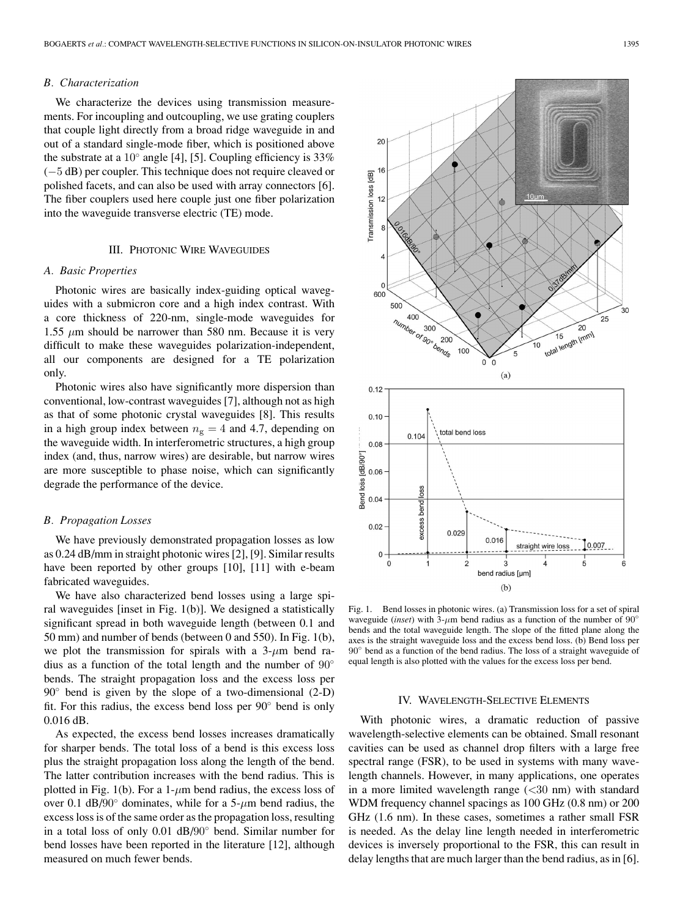## *B. Characterization*

We characterize the devices using transmission measurements. For incoupling and outcoupling, we use grating couplers that couple light directly from a broad ridge waveguide in and out of a standard single-mode fiber, which is positioned above the substrate at a 10 $^{\circ}$  angle [4], [5]. Coupling efficiency is 33% (−5 dB) per coupler. This technique does not require cleaved or polished facets, and can also be used with array connectors [6]. The fiber couplers used here couple just one fiber polarization into the waveguide transverse electric (TE) mode.

#### III. PHOTONIC WIRE WAVEGUIDES

#### *A. Basic Properties*

Photonic wires are basically index-guiding optical waveguides with a submicron core and a high index contrast. With a core thickness of 220-nm, single-mode waveguides for 1.55  $\mu$ m should be narrower than 580 nm. Because it is very difficult to make these waveguides polarization-independent, all our components are designed for a TE polarization only.

Photonic wires also have significantly more dispersion than conventional, low-contrast waveguides [7], although not as high as that of some photonic crystal waveguides [8]. This results in a high group index between  $n<sub>g</sub> = 4$  and 4.7, depending on the waveguide width. In interferometric structures, a high group index (and, thus, narrow wires) are desirable, but narrow wires are more susceptible to phase noise, which can significantly degrade the performance of the device.

#### *B. Propagation Losses*

We have previously demonstrated propagation losses as low as 0.24 dB/mm in straight photonic wires [2], [9]. Similar results have been reported by other groups [10], [11] with e-beam fabricated waveguides.

We have also characterized bend losses using a large spiral waveguides [inset in Fig. 1(b)]. We designed a statistically significant spread in both waveguide length (between 0.1 and 50 mm) and number of bends (between 0 and 550). In Fig. 1(b), we plot the transmission for spirals with a  $3-\mu m$  bend radius as a function of the total length and the number of 90◦ bends. The straight propagation loss and the excess loss per  $90^\circ$  bend is given by the slope of a two-dimensional (2-D) fit. For this radius, the excess bend loss per 90° bend is only 0.016 dB.

As expected, the excess bend losses increases dramatically for sharper bends. The total loss of a bend is this excess loss plus the straight propagation loss along the length of the bend. The latter contribution increases with the bend radius. This is plotted in Fig. 1(b). For a 1- $\mu$ m bend radius, the excess loss of over 0.1 dB/90 $\degree$  dominates, while for a 5- $\mu$ m bend radius, the excess loss is of the same order as the propagation loss, resulting in a total loss of only 0.01 dB/90◦ bend. Similar number for bend losses have been reported in the literature [12], although measured on much fewer bends.



Fig. 1. Bend losses in photonic wires. (a) Transmission loss for a set of spiral waveguide (*inset*) with 3- $\mu$ m bend radius as a function of the number of 90 $\degree$ bends and the total waveguide length. The slope of the fitted plane along the axes is the straight waveguide loss and the excess bend loss. (b) Bend loss per 90◦ bend as a function of the bend radius. The loss of a straight waveguide of equal length is also plotted with the values for the excess loss per bend.

## IV. WAVELENGTH-SELECTIVE ELEMENTS

With photonic wires, a dramatic reduction of passive wavelength-selective elements can be obtained. Small resonant cavities can be used as channel drop filters with a large free spectral range (FSR), to be used in systems with many wavelength channels. However, in many applications, one operates in a more limited wavelength range  $( $30 \text{ nm}$ )$  with standard WDM frequency channel spacings as 100 GHz (0.8 nm) or 200 GHz (1.6 nm). In these cases, sometimes a rather small FSR is needed. As the delay line length needed in interferometric devices is inversely proportional to the FSR, this can result in delay lengths that are much larger than the bend radius, as in [6].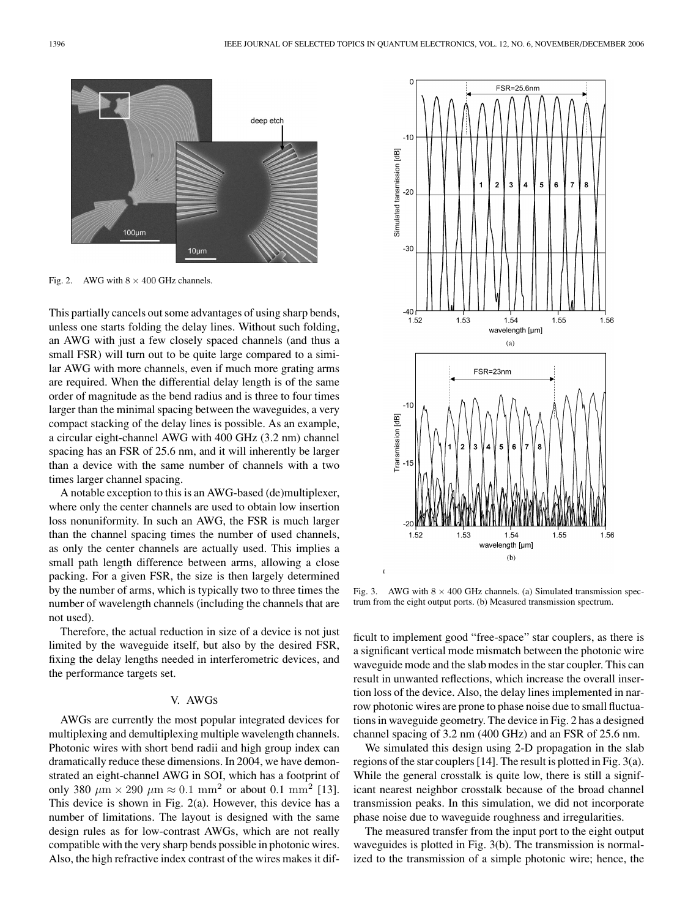

Fig. 2. AWG with  $8 \times 400$  GHz channels.

This partially cancels out some advantages of using sharp bends, unless one starts folding the delay lines. Without such folding, an AWG with just a few closely spaced channels (and thus a small FSR) will turn out to be quite large compared to a similar AWG with more channels, even if much more grating arms are required. When the differential delay length is of the same order of magnitude as the bend radius and is three to four times larger than the minimal spacing between the waveguides, a very compact stacking of the delay lines is possible. As an example, a circular eight-channel AWG with 400 GHz (3.2 nm) channel spacing has an FSR of 25.6 nm, and it will inherently be larger than a device with the same number of channels with a two times larger channel spacing.

A notable exception to this is an AWG-based (de)multiplexer, where only the center channels are used to obtain low insertion loss nonuniformity. In such an AWG, the FSR is much larger than the channel spacing times the number of used channels, as only the center channels are actually used. This implies a small path length difference between arms, allowing a close packing. For a given FSR, the size is then largely determined by the number of arms, which is typically two to three times the number of wavelength channels (including the channels that are not used).

Therefore, the actual reduction in size of a device is not just limited by the waveguide itself, but also by the desired FSR, fixing the delay lengths needed in interferometric devices, and the performance targets set.

## V. AWGS

AWGs are currently the most popular integrated devices for multiplexing and demultiplexing multiple wavelength channels. Photonic wires with short bend radii and high group index can dramatically reduce these dimensions. In 2004, we have demonstrated an eight-channel AWG in SOI, which has a footprint of only 380  $\mu$ m × 290  $\mu$ m ≈ 0.1 mm<sup>2</sup> or about 0.1 mm<sup>2</sup> [13]. This device is shown in Fig. 2(a). However, this device has a number of limitations. The layout is designed with the same design rules as for low-contrast AWGs, which are not really compatible with the very sharp bends possible in photonic wires. Also, the high refractive index contrast of the wires makes it dif-



Fig. 3. AWG with  $8 \times 400$  GHz channels. (a) Simulated transmission spectrum from the eight output ports. (b) Measured transmission spectrum.

ficult to implement good "free-space" star couplers, as there is a significant vertical mode mismatch between the photonic wire waveguide mode and the slab modes in the star coupler. This can result in unwanted reflections, which increase the overall insertion loss of the device. Also, the delay lines implemented in narrow photonic wires are prone to phase noise due to small fluctuations in waveguide geometry. The device in Fig. 2 has a designed channel spacing of 3.2 nm (400 GHz) and an FSR of 25.6 nm.

We simulated this design using 2-D propagation in the slab regions of the star couplers [14]. The result is plotted in Fig. 3(a). While the general crosstalk is quite low, there is still a significant nearest neighbor crosstalk because of the broad channel transmission peaks. In this simulation, we did not incorporate phase noise due to waveguide roughness and irregularities.

The measured transfer from the input port to the eight output waveguides is plotted in Fig. 3(b). The transmission is normalized to the transmission of a simple photonic wire; hence, the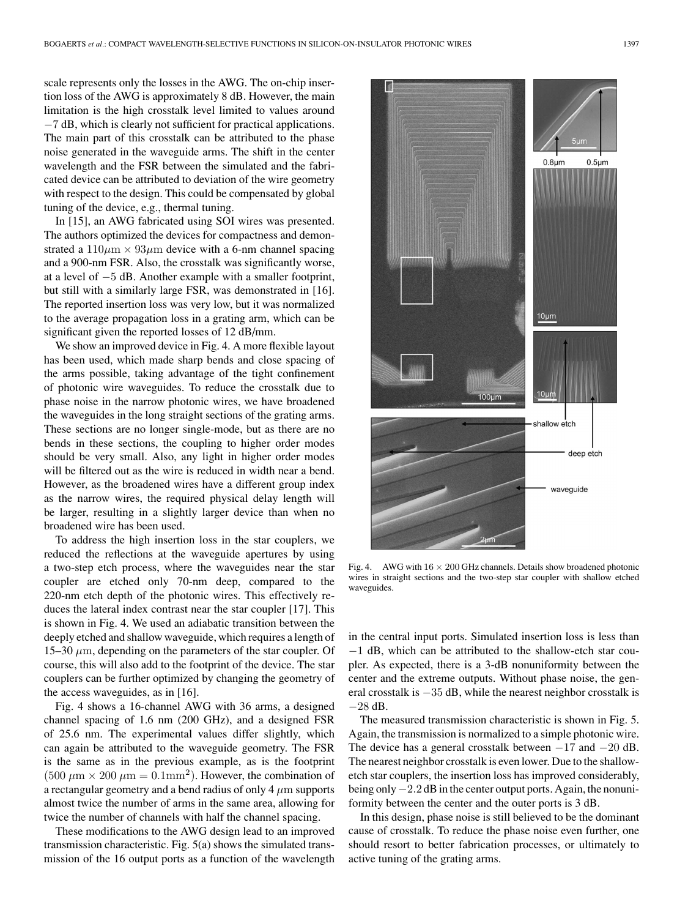scale represents only the losses in the AWG. The on-chip insertion loss of the AWG is approximately 8 dB. However, the main limitation is the high crosstalk level limited to values around −7 dB, which is clearly not sufficient for practical applications. The main part of this crosstalk can be attributed to the phase noise generated in the waveguide arms. The shift in the center wavelength and the FSR between the simulated and the fabricated device can be attributed to deviation of the wire geometry with respect to the design. This could be compensated by global tuning of the device, e.g., thermal tuning.

In [15], an AWG fabricated using SOI wires was presented. The authors optimized the devices for compactness and demonstrated a  $110 \mu m \times 93 \mu m$  device with a 6-nm channel spacing and a 900-nm FSR. Also, the crosstalk was significantly worse, at a level of −5 dB. Another example with a smaller footprint, but still with a similarly large FSR, was demonstrated in [16]. The reported insertion loss was very low, but it was normalized to the average propagation loss in a grating arm, which can be significant given the reported losses of 12 dB/mm.

We show an improved device in Fig. 4. A more flexible layout has been used, which made sharp bends and close spacing of the arms possible, taking advantage of the tight confinement of photonic wire waveguides. To reduce the crosstalk due to phase noise in the narrow photonic wires, we have broadened the waveguides in the long straight sections of the grating arms. These sections are no longer single-mode, but as there are no bends in these sections, the coupling to higher order modes should be very small. Also, any light in higher order modes will be filtered out as the wire is reduced in width near a bend. However, as the broadened wires have a different group index as the narrow wires, the required physical delay length will be larger, resulting in a slightly larger device than when no broadened wire has been used.

To address the high insertion loss in the star couplers, we reduced the reflections at the waveguide apertures by using a two-step etch process, where the waveguides near the star coupler are etched only 70-nm deep, compared to the 220-nm etch depth of the photonic wires. This effectively reduces the lateral index contrast near the star coupler [17]. This is shown in Fig. 4. We used an adiabatic transition between the deeply etched and shallow waveguide, which requires a length of 15–30  $\mu$ m, depending on the parameters of the star coupler. Of course, this will also add to the footprint of the device. The star couplers can be further optimized by changing the geometry of the access waveguides, as in [16].

Fig. 4 shows a 16-channel AWG with 36 arms, a designed channel spacing of 1.6 nm (200 GHz), and a designed FSR of 25.6 nm. The experimental values differ slightly, which can again be attributed to the waveguide geometry. The FSR is the same as in the previous example, as is the footprint  $(500 \ \mu m \times 200 \ \mu m = 0.1 \text{mm}^2)$ . However, the combination of a rectangular geometry and a bend radius of only  $4 \mu m$  supports almost twice the number of arms in the same area, allowing for twice the number of channels with half the channel spacing.

These modifications to the AWG design lead to an improved transmission characteristic. Fig. 5(a) shows the simulated transmission of the 16 output ports as a function of the wavelength



Fig. 4. AWG with  $16 \times 200$  GHz channels. Details show broadened photonic wires in straight sections and the two-step star coupler with shallow etched waveguides.

in the central input ports. Simulated insertion loss is less than −1 dB, which can be attributed to the shallow-etch star coupler. As expected, there is a 3-dB nonuniformity between the center and the extreme outputs. Without phase noise, the general crosstalk is −35 dB, while the nearest neighbor crosstalk is  $-28$  dB.

The measured transmission characteristic is shown in Fig. 5. Again, the transmission is normalized to a simple photonic wire. The device has a general crosstalk between  $-17$  and  $-20$  dB. The nearest neighbor crosstalk is even lower. Due to the shallowetch star couplers, the insertion loss has improved considerably, being only −2.2 dB in the center output ports. Again, the nonuniformity between the center and the outer ports is 3 dB.

In this design, phase noise is still believed to be the dominant cause of crosstalk. To reduce the phase noise even further, one should resort to better fabrication processes, or ultimately to active tuning of the grating arms.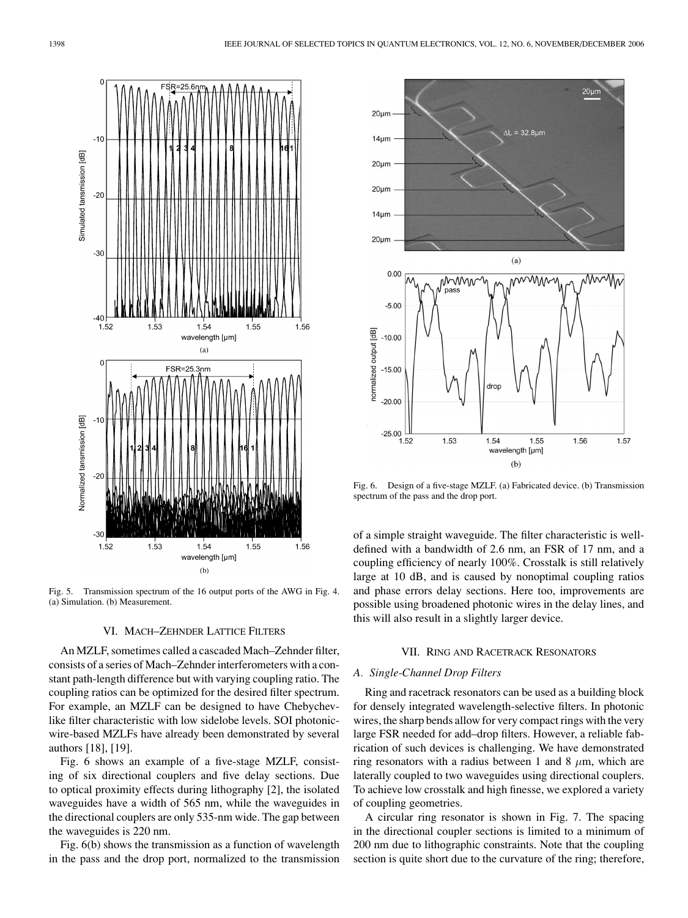

Fig. 5. Transmission spectrum of the 16 output ports of the AWG in Fig. 4. (a) Simulation. (b) Measurement.

#### VI. MACH–ZEHNDER LATTICE FILTERS

An MZLF, sometimes called a cascaded Mach–Zehnder filter, consists of a series of Mach–Zehnder interferometers with a constant path-length difference but with varying coupling ratio. The coupling ratios can be optimized for the desired filter spectrum. For example, an MZLF can be designed to have Chebychevlike filter characteristic with low sidelobe levels. SOI photonicwire-based MZLFs have already been demonstrated by several authors [18], [19].

Fig. 6 shows an example of a five-stage MZLF, consisting of six directional couplers and five delay sections. Due to optical proximity effects during lithography [2], the isolated waveguides have a width of 565 nm, while the waveguides in the directional couplers are only 535-nm wide. The gap between the waveguides is 220 nm.

Fig. 6(b) shows the transmission as a function of wavelength in the pass and the drop port, normalized to the transmission



Fig. 6. Design of a five-stage MZLF. (a) Fabricated device. (b) Transmission spectrum of the pass and the drop port.

of a simple straight waveguide. The filter characteristic is welldefined with a bandwidth of 2.6 nm, an FSR of 17 nm, and a coupling efficiency of nearly 100%. Crosstalk is still relatively large at 10 dB, and is caused by nonoptimal coupling ratios and phase errors delay sections. Here too, improvements are possible using broadened photonic wires in the delay lines, and this will also result in a slightly larger device.

## VII. RING AND RACETRACK RESONATORS

## *A. Single-Channel Drop Filters*

Ring and racetrack resonators can be used as a building block for densely integrated wavelength-selective filters. In photonic wires, the sharp bends allow for very compact rings with the very large FSR needed for add–drop filters. However, a reliable fabrication of such devices is challenging. We have demonstrated ring resonators with a radius between 1 and 8  $\mu$ m, which are laterally coupled to two waveguides using directional couplers. To achieve low crosstalk and high finesse, we explored a variety of coupling geometries.

A circular ring resonator is shown in Fig. 7. The spacing in the directional coupler sections is limited to a minimum of 200 nm due to lithographic constraints. Note that the coupling section is quite short due to the curvature of the ring; therefore,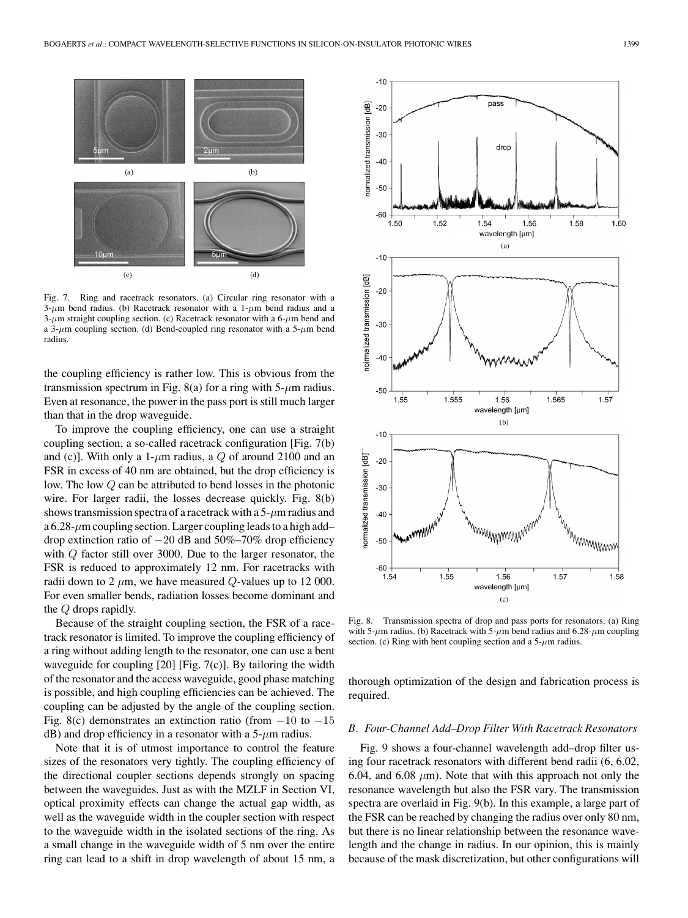

Fig. 7. Ring and racetrack resonators. (a) Circular ring resonator with a  $3-\mu$ m bend radius. (b) Racetrack resonator with a  $1-\mu$ m bend radius and a 3- $\mu$ m straight coupling section. (c) Racetrack resonator with a 6- $\mu$ m bend and a 3- $\mu$ m coupling section. (d) Bend-coupled ring resonator with a 5- $\mu$ m bend radius.

the coupling efficiency is rather low. This is obvious from the transmission spectrum in Fig. 8(a) for a ring with  $5-\mu m$  radius. Even at resonance, the power in the pass port is still much larger than that in the drop waveguide.

To improve the coupling efficiency, one can use a straight coupling section, a so-called racetrack configuration [Fig. 7(b) and (c)]. With only a 1- $\mu$ m radius, a Q of around 2100 and an FSR in excess of 40 nm are obtained, but the drop efficiency is low. The low Q can be attributed to bend losses in the photonic wire. For larger radii, the losses decrease quickly. Fig. 8(b) shows transmission spectra of a racetrack with a  $5-\mu m$  radius and a 6.28- $\mu$ m coupling section. Larger coupling leads to a high adddrop extinction ratio of −20 dB and 50%–70% drop efficiency with Q factor still over 3000. Due to the larger resonator, the FSR is reduced to approximately 12 nm. For racetracks with radii down to 2  $\mu$ m, we have measured Q-values up to 12 000. For even smaller bends, radiation losses become dominant and the Q drops rapidly.

Because of the straight coupling section, the FSR of a racetrack resonator is limited. To improve the coupling efficiency of a ring without adding length to the resonator, one can use a bent waveguide for coupling [20] [Fig. 7(c)]. By tailoring the width of the resonator and the access waveguide, good phase matching is possible, and high coupling efficiencies can be achieved. The coupling can be adjusted by the angle of the coupling section. Fig. 8(c) demonstrates an extinction ratio (from  $-10$  to  $-15$ dB) and drop efficiency in a resonator with a  $5-\mu m$  radius.

Note that it is of utmost importance to control the feature sizes of the resonators very tightly. The coupling efficiency of the directional coupler sections depends strongly on spacing between the waveguides. Just as with the MZLF in Section VI, optical proximity effects can change the actual gap width, as well as the waveguide width in the coupler section with respect to the waveguide width in the isolated sections of the ring. As a small change in the waveguide width of 5 nm over the entire ring can lead to a shift in drop wavelength of about 15 nm, a



Fig. 8. Transmission spectra of drop and pass ports for resonators. (a) Ring with 5- $\mu$ m radius. (b) Racetrack with 5- $\mu$ m bend radius and 6.28- $\mu$ m coupling section. (c) Ring with bent coupling section and a  $5-\mu m$  radius.

thorough optimization of the design and fabrication process is required.

## *B. Four-Channel Add–Drop Filter With Racetrack Resonators*

Fig. 9 shows a four-channel wavelength add–drop filter using four racetrack resonators with different bend radii (6, 6.02, 6.04, and 6.08  $\mu$ m). Note that with this approach not only the resonance wavelength but also the FSR vary. The transmission spectra are overlaid in Fig. 9(b). In this example, a large part of the FSR can be reached by changing the radius over only 80 nm, but there is no linear relationship between the resonance wavelength and the change in radius. In our opinion, this is mainly because of the mask discretization, but other configurations will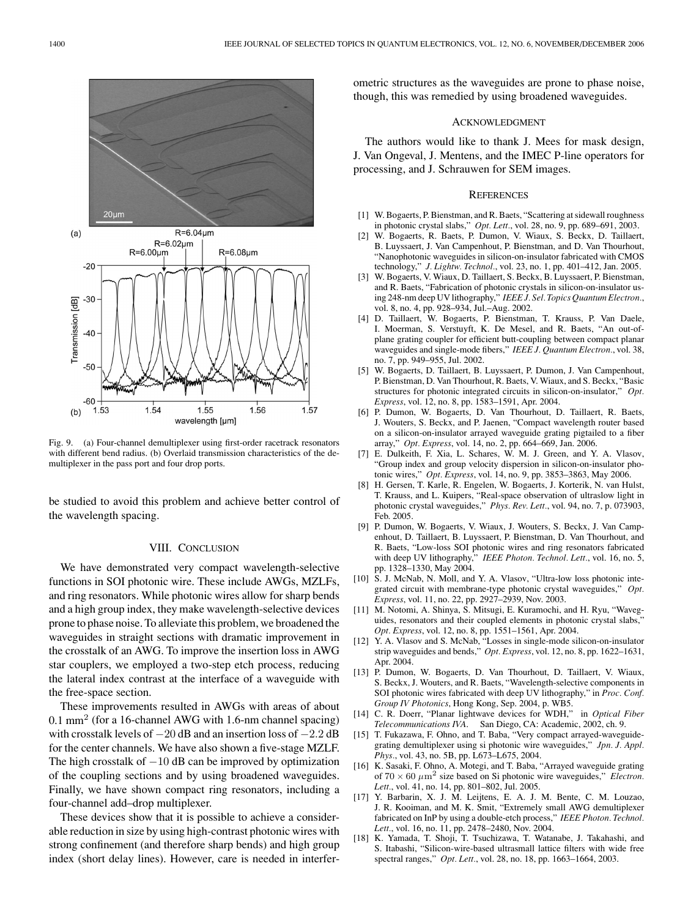

Fig. 9. (a) Four-channel demultiplexer using first-order racetrack resonators with different bend radius. (b) Overlaid transmission characteristics of the demultiplexer in the pass port and four drop ports.

be studied to avoid this problem and achieve better control of the wavelength spacing.

#### VIII. CONCLUSION

We have demonstrated very compact wavelength-selective functions in SOI photonic wire. These include AWGs, MZLFs, and ring resonators. While photonic wires allow for sharp bends and a high group index, they make wavelength-selective devices prone to phase noise. To alleviate this problem, we broadened the waveguides in straight sections with dramatic improvement in the crosstalk of an AWG. To improve the insertion loss in AWG star couplers, we employed a two-step etch process, reducing the lateral index contrast at the interface of a waveguide with the free-space section.

These improvements resulted in AWGs with areas of about 0.1 mm<sup>2</sup> (for a 16-channel AWG with 1.6-nm channel spacing) with crosstalk levels of −20 dB and an insertion loss of −2.2 dB for the center channels. We have also shown a five-stage MZLF. The high crosstalk of  $-10$  dB can be improved by optimization of the coupling sections and by using broadened waveguides. Finally, we have shown compact ring resonators, including a four-channel add–drop multiplexer.

These devices show that it is possible to achieve a considerable reduction in size by using high-contrast photonic wires with strong confinement (and therefore sharp bends) and high group index (short delay lines). However, care is needed in interferometric structures as the waveguides are prone to phase noise, though, this was remedied by using broadened waveguides.

#### ACKNOWLEDGMENT

The authors would like to thank J. Mees for mask design, J. Van Ongeval, J. Mentens, and the IMEC P-line operators for processing, and J. Schrauwen for SEM images.

#### **REFERENCES**

- [1] W. Bogaerts, P. Bienstman, and R. Baets, "Scattering at sidewall roughness in photonic crystal slabs," *Opt. Lett.*, vol. 28, no. 9, pp. 689–691, 2003.
- [2] W. Bogaerts, R. Baets, P. Dumon, V. Wiaux, S. Beckx, D. Taillaert, B. Luyssaert, J. Van Campenhout, P. Bienstman, and D. Van Thourhout, "Nanophotonic waveguides in silicon-on-insulator fabricated with CMOS technology," *J. Lightw. Technol.*, vol. 23, no. 1, pp. 401–412, Jan. 2005.
- [3] W. Bogaerts, V. Wiaux, D. Taillaert, S. Beckx, B. Luyssaert, P. Bienstman, and R. Baets, "Fabrication of photonic crystals in silicon-on-insulator using 248-nm deep UV lithography," *IEEE J. Sel. Topics Quantum Electron.*, vol. 8, no. 4, pp. 928–934, Jul.–Aug. 2002.
- [4] D. Taillaert, W. Bogaerts, P. Bienstman, T. Krauss, P. Van Daele, I. Moerman, S. Verstuyft, K. De Mesel, and R. Baets, "An out-ofplane grating coupler for efficient butt-coupling between compact planar waveguides and single-mode fibers," *IEEE J. Quantum Electron.*, vol. 38, no. 7, pp. 949–955, Jul. 2002.
- [5] W. Bogaerts, D. Taillaert, B. Luyssaert, P. Dumon, J. Van Campenhout, P. Bienstman, D. Van Thourhout, R. Baets, V. Wiaux, and S. Beckx, "Basic structures for photonic integrated circuits in silicon-on-insulator," *Opt. Express*, vol. 12, no. 8, pp. 1583–1591, Apr. 2004.
- [6] P. Dumon, W. Bogaerts, D. Van Thourhout, D. Taillaert, R. Baets, J. Wouters, S. Beckx, and P. Jaenen, "Compact wavelength router based on a silicon-on-insulator arrayed waveguide grating pigtailed to a fiber array," *Opt. Express*, vol. 14, no. 2, pp. 664–669, Jan. 2006.
- [7] E. Dulkeith, F. Xia, L. Schares, W. M. J. Green, and Y. A. Vlasov, "Group index and group velocity dispersion in silicon-on-insulator photonic wires," *Opt. Express*, vol. 14, no. 9, pp. 3853–3863, May 2006.
- [8] H. Gersen, T. Karle, R. Engelen, W. Bogaerts, J. Korterik, N. van Hulst, T. Krauss, and L. Kuipers, "Real-space observation of ultraslow light in photonic crystal waveguides," *Phys. Rev. Lett.*, vol. 94, no. 7, p. 073903, Feb. 2005.
- [9] P. Dumon, W. Bogaerts, V. Wiaux, J. Wouters, S. Beckx, J. Van Campenhout, D. Taillaert, B. Luyssaert, P. Bienstman, D. Van Thourhout, and R. Baets, "Low-loss SOI photonic wires and ring resonators fabricated with deep UV lithography," *IEEE Photon. Technol. Lett.*, vol. 16, no. 5, pp. 1328–1330, May 2004.
- [10] S. J. McNab, N. Moll, and Y. A. Vlasov, "Ultra-low loss photonic integrated circuit with membrane-type photonic crystal waveguides," *Opt. Express*, vol. 11, no. 22, pp. 2927–2939, Nov. 2003.
- [11] M. Notomi, A. Shinya, S. Mitsugi, E. Kuramochi, and H. Ryu, "Waveguides, resonators and their coupled elements in photonic crystal slabs, *Opt. Express*, vol. 12, no. 8, pp. 1551–1561, Apr. 2004.
- [12] Y. A. Vlasov and S. McNab, "Losses in single-mode silicon-on-insulator strip waveguides and bends," *Opt. Express*, vol. 12, no. 8, pp. 1622–1631, Apr. 2004.
- [13] P. Dumon, W. Bogaerts, D. Van Thourhout, D. Taillaert, V. Wiaux, S. Beckx, J. Wouters, and R. Baets, "Wavelength-selective components in SOI photonic wires fabricated with deep UV lithography," in *Proc. Conf. Group IV Photonics*, Hong Kong, Sep. 2004, p. WB5.
- [14] C. R. Doerr, "Planar lightwave devices for WDH," in *Optical Fiber Telecommunications IVA*. San Diego, CA: Academic, 2002, ch. 9.
- [15] T. Fukazawa, F. Ohno, and T. Baba, "Very compact arrayed-waveguidegrating demultiplexer using si photonic wire waveguides," *Jpn. J. Appl. Phys.*, vol. 43, no. 5B, pp. L673–L675, 2004.
- [16] K. Sasaki, F. Ohno, A. Motegi, and T. Baba, "Arrayed waveguide grating of  $70 \times 60 \ \mu m^2$  size based on Si photonic wire waveguides," *Electron. Lett.*, vol. 41, no. 14, pp. 801–802, Jul. 2005.
- [17] Y. Barbarin, X. J. M. Leijtens, E. A. J. M. Bente, C. M. Louzao, J. R. Kooiman, and M. K. Smit, "Extremely small AWG demultiplexer fabricated on InP by using a double-etch process," *IEEE Photon. Technol. Lett.*, vol. 16, no. 11, pp. 2478–2480, Nov. 2004.
- [18] K. Yamada, T. Shoji, T. Tsuchizawa, T. Watanabe, J. Takahashi, and S. Itabashi, "Silicon-wire-based ultrasmall lattice filters with wide free spectral ranges," *Opt. Lett.*, vol. 28, no. 18, pp. 1663–1664, 2003.